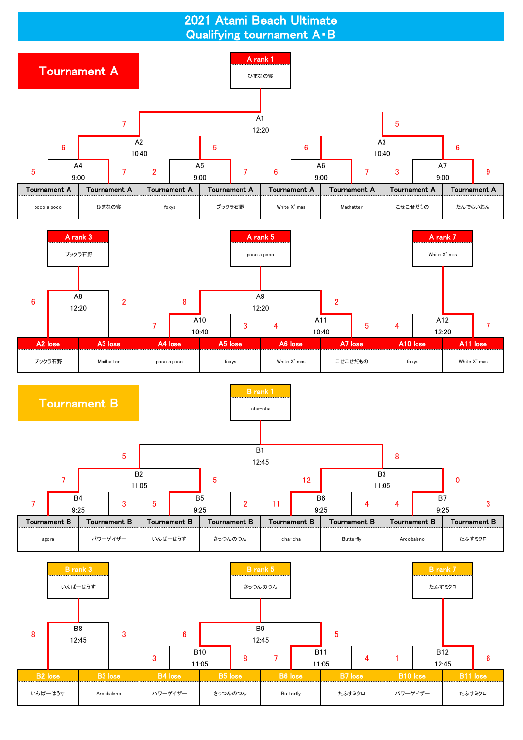2021 Atami Beach Ultimate Qualifying tournament A・B

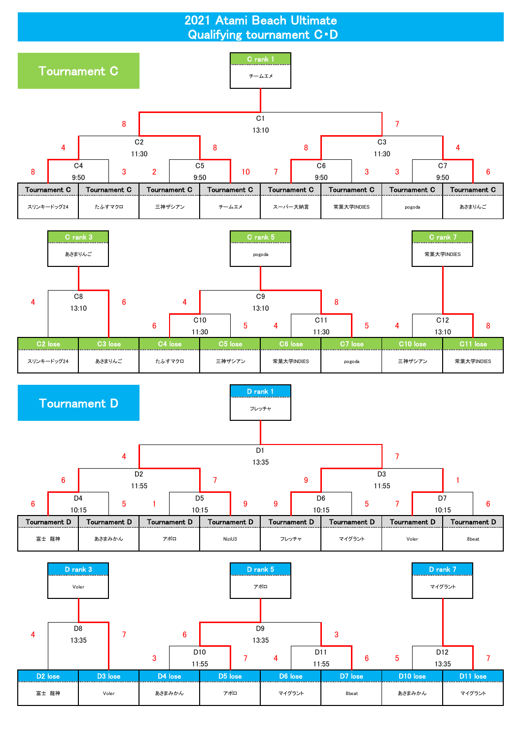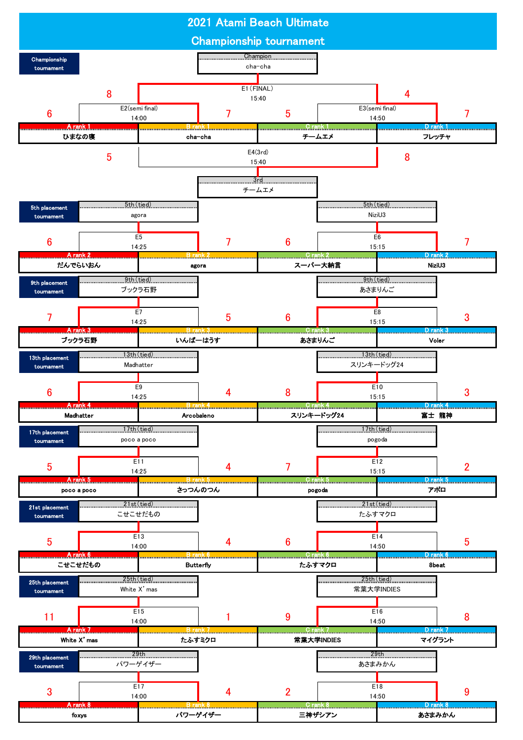